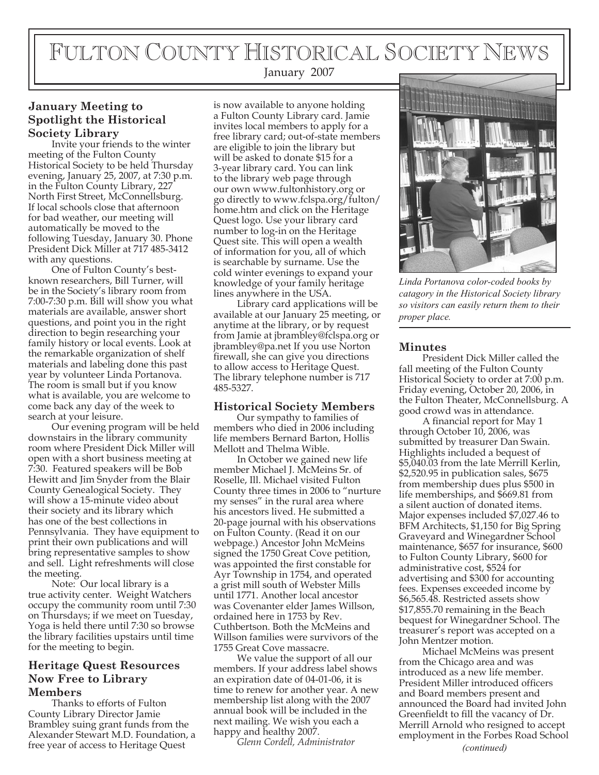# FULTON COUNTY HISTORICAL SOCIETY NEWS

#### January 2007

## **January Meeting to Spotlight the Historical Society Library**

Invite your friends to the winter meeting of the Fulton County Historical Society to be held Thursday evening, January 25, 2007, at 7:30 p.m. in the Fulton County Library, 227 North First Street, McConnellsburg. If local schools close that afternoon for bad weather, our meeting will automatically be moved to the following Tuesday, January 30. Phone President Dick Miller at 717 485-3412 with any questions.

One of Fulton County's bestknown researchers, Bill Turner, will be in the Society's library room from 7:00-7:30 p.m. Bill will show you what materials are available, answer short questions, and point you in the right direction to begin researching your family history or local events. Look at the remarkable organization of shelf materials and labeling done this past year by volunteer Linda Portanova. The room is small but if you know what is available, you are welcome to come back any day of the week to search at your leisure.

Our evening program will be held downstairs in the library community room where President Dick Miller will open with a short business meeting at 7:30. Featured speakers will be Bob Hewitt and Jim Snyder from the Blair County Genealogical Society. They will show a 15-minute video about their society and its library which has one of the best collections in Pennsylvania. They have equipment to print their own publications and will bring representative samples to show and sell. Light refreshments will close the meeting.

Note: Our local library is a true activity center. Weight Watchers occupy the community room until 7:30 on Thursdays; if we meet on Tuesday, Yoga is held there until 7:30 so browse the library facilities upstairs until time for the meeting to begin.

### **Heritage Quest Resources Now Free to Library Members**

Thanks to efforts of Fulton County Library Director Jamie Brambley suing grant funds from the Alexander Stewart M.D. Foundation, a free year of access to Heritage Quest *(continued)*

is now available to anyone holding a Fulton County Library card. Jamie invites local members to apply for a free library card; out-of-state members are eligible to join the library but will be asked to donate \$15 for a 3-year library card. You can link to the library web page through our own www.fultonhistory.org or go directly to www.fclspa.org/fulton/ home.htm and click on the Heritage Quest logo. Use your library card number to log-in on the Heritage Quest site. This will open a wealth of information for you, all of which is searchable by surname. Use the cold winter evenings to expand your knowledge of your family heritage lines anywhere in the USA.

Library card applications will be available at our January 25 meeting, or anytime at the library, or by request from Jamie at jbrambley@fclspa.org or jbrambley@pa.net If you use Norton firewall, she can give you directions to allow access to Heritage Quest. The library telephone number is 717 485-5327.

#### **Historical Society Members**

Our sympathy to families of members who died in 2006 including life members Bernard Barton, Hollis Mellott and Thelma Wible.

In October we gained new life member Michael J. McMeins Sr. of Roselle, Ill. Michael visited Fulton County three times in 2006 to "nurture my senses" in the rural area where his ancestors lived. He submitted a 20-page journal with his observations on Fulton County. (Read it on our webpage.) Ancestor John McMeins signed the 1750 Great Cove petition, was appointed the first constable for Ayr Township in 1754, and operated a grist mill south of Webster Mills until 1771. Another local ancestor was Covenanter elder James Willson, ordained here in 1753 by Rev. Cuthbertson. Both the McMeins and Willson families were survivors of the 1755 Great Cove massacre.

We value the support of all our members. If your address label shows an expiration date of 04-01-06, it is time to renew for another year. A new membership list along with the 2007 annual book will be included in the next mailing. We wish you each a happy and healthy 2007.

*Glenn Cordell, Administrator*



*Linda Portanova color-coded books by catagory in the Historical Society library so visitors can easily return them to their proper place.*

#### **Minutes**

President Dick Miller called the fall meeting of the Fulton County Historical Society to order at 7:00 p.m. Friday evening, October 20, 2006, in the Fulton Theater, McConnellsburg. A good crowd was in attendance.

A financial report for May 1 through October 10, 2006, was submitted by treasurer Dan Swain. Highlights included a bequest of \$5,040.03 from the late Merrill Kerlin, \$2,520.95 in publication sales, \$675 from membership dues plus \$500 in life memberships, and \$669.81 from a silent auction of donated items. Major expenses included \$7,027.46 to BFM Architects, \$1,150 for Big Spring Graveyard and Winegardner School maintenance, \$657 for insurance, \$600 to Fulton County Library, \$600 for administrative cost, \$524 for advertising and \$300 for accounting fees. Expenses exceeded income by \$6,565.48. Restricted assets show \$17,855.70 remaining in the Beach bequest for Winegardner School. The treasurer's report was accepted on a John Mentzer motion.

Michael McMeins was present from the Chicago area and was introduced as a new life member. President Miller introduced officers and Board members present and announced the Board had invited John Greenfieldt to fill the vacancy of Dr. Merrill Arnold who resigned to accept employment in the Forbes Road School